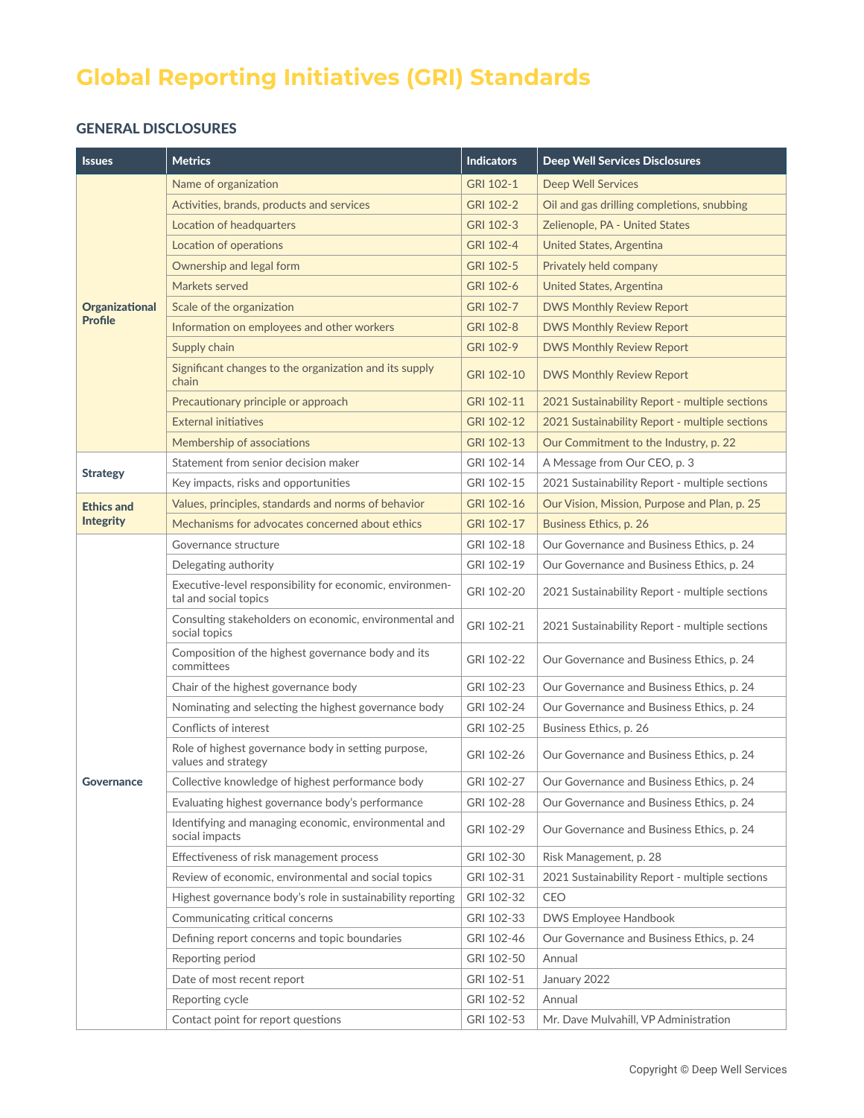# **Global Reporting Initiatives (GRI) Standards**

### GENERAL DISCLOSURES

| <b>Issues</b>                           | <b>Metrics</b>                                                                    | <b>Indicators</b> | <b>Deep Well Services Disclosures</b>          |
|-----------------------------------------|-----------------------------------------------------------------------------------|-------------------|------------------------------------------------|
|                                         | Name of organization                                                              | GRI 102-1         | <b>Deep Well Services</b>                      |
|                                         | Activities, brands, products and services                                         | GRI 102-2         | Oil and gas drilling completions, snubbing     |
|                                         | Location of headquarters                                                          | GRI 102-3         | Zelienople, PA - United States                 |
|                                         | Location of operations                                                            | GRI 102-4         | United States, Argentina                       |
| <b>Organizational</b><br><b>Profile</b> | Ownership and legal form                                                          | GRI 102-5         | Privately held company                         |
|                                         | Markets served                                                                    | GRI 102-6         | United States, Argentina                       |
|                                         | Scale of the organization                                                         | GRI 102-7         | <b>DWS Monthly Review Report</b>               |
|                                         | Information on employees and other workers                                        | GRI 102-8         | <b>DWS Monthly Review Report</b>               |
|                                         | Supply chain                                                                      | GRI 102-9         | <b>DWS Monthly Review Report</b>               |
|                                         | Significant changes to the organization and its supply<br>chain                   | GRI 102-10        | <b>DWS Monthly Review Report</b>               |
|                                         | Precautionary principle or approach                                               | GRI 102-11        | 2021 Sustainability Report - multiple sections |
|                                         | <b>External initiatives</b>                                                       | GRI 102-12        | 2021 Sustainability Report - multiple sections |
|                                         | Membership of associations                                                        | GRI 102-13        | Our Commitment to the Industry, p. 22          |
| <b>Strategy</b>                         | Statement from senior decision maker                                              | GRI 102-14        | A Message from Our CEO, p. 3                   |
|                                         | Key impacts, risks and opportunities                                              | GRI 102-15        | 2021 Sustainability Report - multiple sections |
| <b>Ethics and</b><br><b>Integrity</b>   | Values, principles, standards and norms of behavior                               | GRI 102-16        | Our Vision, Mission, Purpose and Plan, p. 25   |
|                                         | Mechanisms for advocates concerned about ethics                                   | GRI 102-17        | Business Ethics, p. 26                         |
|                                         | Governance structure                                                              | GRI 102-18        | Our Governance and Business Ethics, p. 24      |
|                                         | Delegating authority                                                              | GRI 102-19        | Our Governance and Business Ethics, p. 24      |
|                                         | Executive-level responsibility for economic, environmen-<br>tal and social topics | GRI 102-20        | 2021 Sustainability Report - multiple sections |
|                                         | Consulting stakeholders on economic, environmental and<br>social topics           | GRI 102-21        | 2021 Sustainability Report - multiple sections |
|                                         | Composition of the highest governance body and its<br>committees                  | GRI 102-22        | Our Governance and Business Ethics, p. 24      |
|                                         | Chair of the highest governance body                                              | GRI 102-23        | Our Governance and Business Ethics, p. 24      |
|                                         | Nominating and selecting the highest governance body                              | GRI 102-24        | Our Governance and Business Ethics, p. 24      |
|                                         | Conflicts of interest                                                             | GRI 102-25        | Business Ethics, p. 26                         |
| <b>Governance</b>                       | Role of highest governance body in setting purpose,<br>values and strategy        | GRI 102-26        | Our Governance and Business Ethics, p. 24      |
|                                         | Collective knowledge of highest performance body                                  | GRI 102-27        | Our Governance and Business Ethics, p. 24      |
|                                         | Evaluating highest governance body's performance                                  | GRI 102-28        | Our Governance and Business Ethics, p. 24      |
|                                         | Identifying and managing economic, environmental and<br>social impacts            | GRI 102-29        | Our Governance and Business Ethics, p. 24      |
|                                         | Effectiveness of risk management process                                          | GRI 102-30        | Risk Management, p. 28                         |
|                                         | Review of economic, environmental and social topics                               | GRI 102-31        | 2021 Sustainability Report - multiple sections |
|                                         | Highest governance body's role in sustainability reporting                        | GRI 102-32        | CEO                                            |
|                                         | Communicating critical concerns                                                   | GRI 102-33        | DWS Employee Handbook                          |
|                                         | Defining report concerns and topic boundaries                                     | GRI 102-46        | Our Governance and Business Ethics, p. 24      |
|                                         | Reporting period                                                                  | GRI 102-50        | Annual                                         |
|                                         | Date of most recent report                                                        | GRI 102-51        | January 2022                                   |
|                                         | Reporting cycle                                                                   | GRI 102-52        | Annual                                         |
|                                         | Contact point for report questions                                                | GRI 102-53        | Mr. Dave Mulvahill, VP Administration          |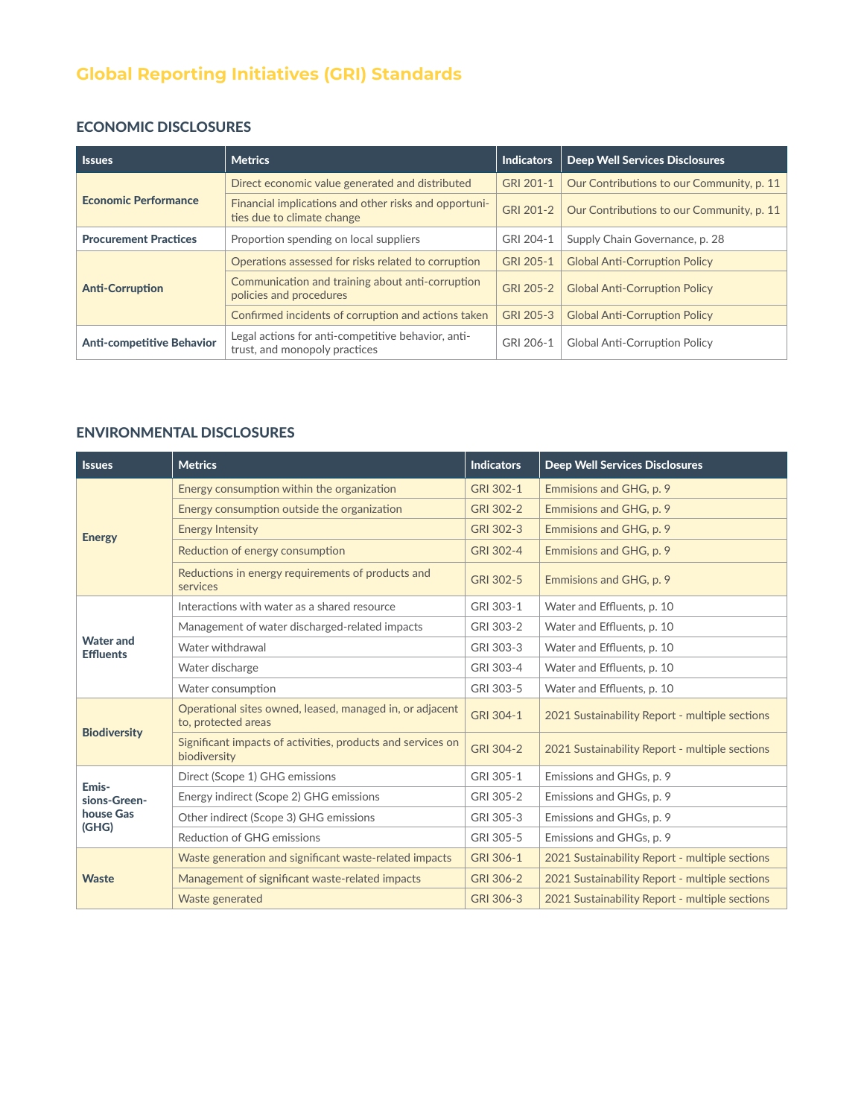# **Global Reporting Initiatives (GRI) Standards**

## ECONOMIC DISCLOSURES

| <b>Issues</b>                    | <b>Metrics</b>                                                                      | <b>Indicators</b> | <b>Deep Well Services Disclosures</b>     |
|----------------------------------|-------------------------------------------------------------------------------------|-------------------|-------------------------------------------|
|                                  | Direct economic value generated and distributed                                     | GRI 201-1         | Our Contributions to our Community, p. 11 |
| <b>Economic Performance</b>      | Financial implications and other risks and opportuni-<br>ties due to climate change | GRI 201-2         | Our Contributions to our Community, p. 11 |
| <b>Procurement Practices</b>     | Proportion spending on local suppliers                                              | GRI 204-1         | Supply Chain Governance, p. 28            |
|                                  | Operations assessed for risks related to corruption                                 | GRI 205-1         | <b>Global Anti-Corruption Policy</b>      |
| <b>Anti-Corruption</b>           | Communication and training about anti-corruption<br>policies and procedures         | GRI 205-2         | <b>Global Anti-Corruption Policy</b>      |
|                                  | Confirmed incidents of corruption and actions taken                                 | GRI 205-3         | <b>Global Anti-Corruption Policy</b>      |
| <b>Anti-competitive Behavior</b> | Legal actions for anti-competitive behavior, anti-<br>trust, and monopoly practices | GRI 206-1         | <b>Global Anti-Corruption Policy</b>      |

### ENVIRONMENTAL DISCLOSURES

| <b>Issues</b>                               | <b>Metrics</b>                                                                  | <b>Indicators</b> | <b>Deep Well Services Disclosures</b>          |
|---------------------------------------------|---------------------------------------------------------------------------------|-------------------|------------------------------------------------|
| <b>Energy</b>                               | Energy consumption within the organization                                      | GRI 302-1         | Emmisions and GHG, p. 9                        |
|                                             | Energy consumption outside the organization                                     | GRI 302-2         | Emmisions and GHG, p. 9                        |
|                                             | <b>Energy Intensity</b>                                                         | GRI 302-3         | Emmisions and GHG, p. 9                        |
|                                             | Reduction of energy consumption                                                 | GRI 302-4         | Emmisions and GHG, p. 9                        |
|                                             | Reductions in energy requirements of products and<br>services                   | GRI 302-5         | Emmisions and GHG, p. 9                        |
| <b>Water and</b><br><b>Effluents</b>        | Interactions with water as a shared resource                                    | GRI 303-1         | Water and Effluents, p. 10                     |
|                                             | Management of water discharged-related impacts                                  | GRI 303-2         | Water and Effluents, p. 10                     |
|                                             | Water withdrawal                                                                | GRI 303-3         | Water and Effluents, p. 10                     |
|                                             | Water discharge                                                                 | GRI 303-4         | Water and Effluents, p. 10                     |
|                                             | Water consumption                                                               | GRI 303-5         | Water and Effluents, p. 10                     |
| <b>Biodiversity</b>                         | Operational sites owned, leased, managed in, or adjacent<br>to, protected areas | GRI 304-1         | 2021 Sustainability Report - multiple sections |
|                                             | Significant impacts of activities, products and services on<br>biodiversity     | GRI 304-2         | 2021 Sustainability Report - multiple sections |
| Emis-<br>sions-Green-<br>house Gas<br>(GHG) | Direct (Scope 1) GHG emissions                                                  | GRI 305-1         | Emissions and GHGs, p. 9                       |
|                                             | Energy indirect (Scope 2) GHG emissions                                         | GRI 305-2         | Emissions and GHGs, p. 9                       |
|                                             | Other indirect (Scope 3) GHG emissions                                          | GRI 305-3         | Emissions and GHGs, p. 9                       |
|                                             | Reduction of GHG emissions                                                      | GRI 305-5         | Emissions and GHGs, p. 9                       |
| <b>Waste</b>                                | Waste generation and significant waste-related impacts                          | GRI 306-1         | 2021 Sustainability Report - multiple sections |
|                                             | Management of significant waste-related impacts                                 | GRI 306-2         | 2021 Sustainability Report - multiple sections |
|                                             | Waste generated                                                                 | GRI 306-3         | 2021 Sustainability Report - multiple sections |